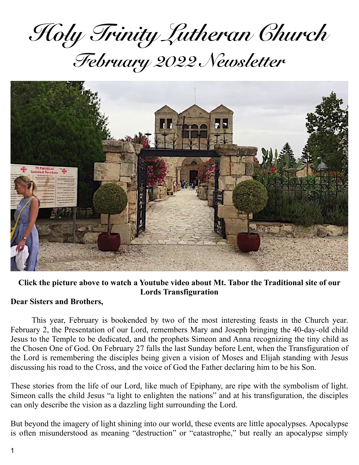*Holy Trinity Lutheran Church February 2022 Newsletter*



#### **Click the picture above to watch a Youtube video about Mt. Tabor the Traditional site of our Lords Transfiguration**

#### **Dear Sisters and Brothers,**

This year, February is bookended by two of the most interesting feasts in the Church year. February 2, the Presentation of our Lord, remembers Mary and Joseph bringing the 40-day-old child Jesus to the Temple to be dedicated, and the prophets Simeon and Anna recognizing the tiny child as the Chosen One of God. On February 27 falls the last Sunday before Lent, when the Transfiguration of the Lord is remembering the disciples being given a vision of Moses and Elijah standing with Jesus discussing his road to the Cross, and the voice of God the Father declaring him to be his Son.

These stories from the life of our Lord, like much of Epiphany, are ripe with the symbolism of light. Simeon calls the child Jesus "a light to enlighten the nations" and at his transfiguration, the disciples can only describe the vision as a dazzling light surrounding the Lord.

But beyond the imagery of light shining into our world, these events are little apocalypses. Apocalypse is often misunderstood as meaning "destruction" or "catastrophe," but really an apocalypse simply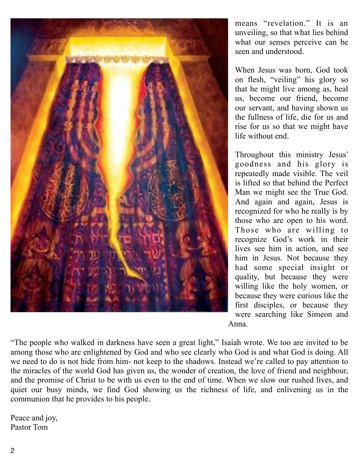

means "revelation." It is an unveiling, so that what lies behind what our senses perceive can be seen and understood.

When Jesus was born, God took on flesh, "veiling" his glory so that he might live among as, heal us, become our friend, become our servant, and having shown us the fullness of life, die for us and rise for us so that we might have life without end.

Throughout this ministry Jesus' goodness and his glory is repeatedly made visible. The veil is lifted so that behind the Perfect Man we might see the True God. And again and again, Jesus is recognized for who he really is by those who are open to his word. Those who are willing to recognize God's work in their lives see him in action, and see him in Jesus. Not because they had some special insight or quality, but because they were willing like the holy women, or because they were curious like the first disciples, or because they were searching like Simeon and Anna.

"The people who walked in darkness have seen a great light," Isaiah wrote. We too are invited to be among those who are enlightened by God and who see clearly who God is and what God is doing. All we need to do is not hide from him- not keep to the shadows. Instead we're called to pay attention to the miracles of the world God has given us, the wonder of creation, the love of friend and neighbour, and the promise of Christ to be with us even to the end of time. When we slow our rushed lives, and quiet our busy minds, we find God showing us the richness of life, and enlivening us in the communion that he provides to his people.

Peace and joy, Pastor Tom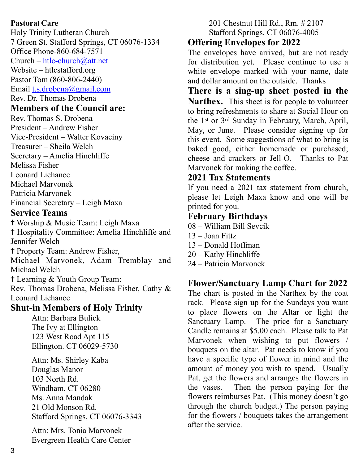#### **Pastora**l **Care**

Holy Trinity Lutheran Church 7 Green St. Stafford Springs, CT 06076-1334 Office Phone-860-684-7571  $Church - htlc-church@att.net$ 

Website – htlcstafford.org

Pastor Tom (860-806-2440)

Email [t.s.drobena@gmail.com](mailto:t.s.drobena@gmail.com) 

Rev. Dr. Thomas Drobena

#### **Members of the Council are:**

Rev. Thomas S. Drobena President – Andrew Fisher Vice-President – Walter Kovaciny Treasurer – Sheila Welch Secretary – Amelia Hinchliffe Melissa Fisher Leonard Lichanec Michael Marvonek Patricia Marvonek Financial Secretary – Leigh Maxa

#### **Service Teams**

✝ Worship & Music Team: Leigh Maxa ✝ Hospitality Committee: Amelia Hinchliffe and Jennifer Welch ✝ Property Team: Andrew Fisher,

Michael Marvonek, Adam Tremblay and Michael Welch

✝ Learning & Youth Group Team:

Rev. Thomas Drobena, Melissa Fisher, Cathy & Leonard Lichanec

## **Shut-in Members of Holy Trinity**

Attn: Barbara Bulick The Ivy at Ellington 123 West Road Apt 115 Ellington. CT 06029-5730

Attn: Ms. Shirley Kaba Douglas Manor 103 North Rd. Windham, CT 06280 Ms. Anna Mandak 21 Old Monson Rd. Stafford Springs, CT 06076-3343

Attn: Mrs. Tonia Marvonek Evergreen Health Care Center 201 Chestnut Hill Rd., Rm. # 2107 Stafford Springs, CT 06076-4005

# **Offering Envelopes for 2022**

The envelopes have arrived, but are not ready for distribution yet. Please continue to use a white envelope marked with your name, date and dollar amount on the outside. Thanks

**There is a sing-up sheet posted in the Narthex.** This sheet is for people to volunteer to bring refreshments to share at Social Hour on the 1st or 3rd Sunday in February, March, April, May, or June. Please consider signing up for this event. Some suggestions of what to bring is baked good, either homemade or purchased; cheese and crackers or Jell-O. Thanks to Pat Marvonek for making the coffee.

### **2021 Tax Statements**

If you need a 2021 tax statement from church, please let Leigh Maxa know and one will be printed for you.

# **February Birthdays**

- 08 William Bill Sevcik
- 13 Joan Fittz
- 13 Donald Hoffman
- 20 Kathy Hinchliffe

#### 24 – Patricia Marvonek

## **Flower/Sanctuary Lamp Chart for 2022**

The chart is posted in the Narthex by the coat rack. Please sign up for the Sundays you want to place flowers on the Altar or light the Sanctuary Lamp. The price for a Sanctuary Candle remains at \$5.00 each. Please talk to Pat Marvonek when wishing to put flowers / bouquets on the altar. Pat needs to know if you have a specific type of flower in mind and the amount of money you wish to spend. Usually Pat, get the flowers and arranges the flowers in the vases. Then the person paying for the flowers reimburses Pat. (This money doesn't go through the church budget.) The person paying for the flowers / bouquets takes the arrangement after the service.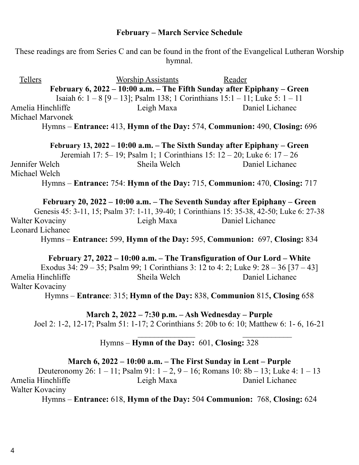#### **February – March Service Schedule**

These readings are from Series C and can be found in the front of the Evangelical Lutheran Worship hymnal.

 Tellers Worship Assistants Reader **February 6, 2022 – 10:00 a.m. – The Fifth Sunday after Epiphany – Green**  Isaiah 6: 1 – 8 [9 – 13]; Psalm 138; 1 Corinthians 15:1 – 11; Luke 5: 1 – 11 Amelia Hinchliffe Leigh Maxa Daniel Lichanec Michael Marvonek Hymns – **Entrance:** 413, **Hymn of the Day:** 574, **Communion:** 490, **Closing:** 696 **February 13, 2022 – 10:00 a.m. – The Sixth Sunday after Epiphany – Green**  Jeremiah 17: 5– 19; Psalm 1; 1 Corinthians 15: 12 – 20; Luke 6: 17 – 26 Jennifer Welch Sheila Welch Daniel Lichanec Michael Welch Hymns – **Entrance:** 754: **Hymn of the Day:** 715, **Communion:** 470, **Closing:** 717 **February 20, 2022 – 10:00 a.m. – The Seventh Sunday after Epiphany – Green**  Genesis 45: 3-11, 15; Psalm 37: 1-11, 39-40; 1 Corinthians 15: 35-38, 42-50; Luke 6: 27-38 Walter Kovaciny Leigh Maxa Daniel Lichanec

Leonard Lichanec Hymns – **Entrance:** 599, **Hymn of the Day:** 595, **Communion:** 697, **Closing:** 834

**February 27, 2022 – 10:00 a.m. – The Transfiguration of Our Lord – White**  Exodus 34: 29 – 35; Psalm 99; 1 Corinthians 3: 12 to 4: 2; Luke 9: 28 – 36 [37 – 43] Amelia Hinchliffe Sheila Welch Daniel Lichanec Walter Kovaciny

Hymns – **Entrance**: 315; **Hymn of the Day:** 838, **Communion** 815**, Closing** 658

**March 2, 2022 – 7:30 p.m. – Ash Wednesday – Purple**  Joel 2: 1-2, 12-17; Psalm 51: 1-17; 2 Corinthians 5: 20b to 6: 10; Matthew 6: 1- 6, 16-21  $\frac{1}{2}$  , and the contribution of the contribution of the contribution of the contribution of the contribution of the contribution of the contribution of the contribution of the contribution of the contribution of the c

#### Hymns – **Hymn of the Day:** 601, **Closing:** 328

**March 6, 2022 – 10:00 a.m. – The First Sunday in Lent – Purple** 

Deuteronomy 26: 1 – 11; Psalm 91: 1 – 2, 9 – 16; Romans 10: 8b – 13; Luke 4: 1 – 13 Amelia Hinchliffe Leigh Maxa Daniel Lichanec Walter Kovaciny

Hymns – **Entrance:** 618, **Hymn of the Day:** 504 **Communion:** 768, **Closing:** 624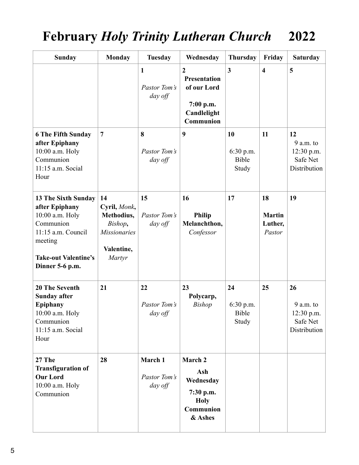# **February** *Holy Trinity Lutheran Church* **2022**

| <b>Sunday</b>                                                                                                                                                   | <b>Monday</b>                                                                              | <b>Tuesday</b>                          | Wednesday                                                                                     | <b>Thursday</b>                            | Friday                                   | <b>Saturday</b>                                             |
|-----------------------------------------------------------------------------------------------------------------------------------------------------------------|--------------------------------------------------------------------------------------------|-----------------------------------------|-----------------------------------------------------------------------------------------------|--------------------------------------------|------------------------------------------|-------------------------------------------------------------|
|                                                                                                                                                                 |                                                                                            | $\mathbf{1}$<br>Pastor Tom's<br>day off | $\overline{2}$<br><b>Presentation</b><br>of our Lord<br>7:00 p.m.<br>Candlelight<br>Communion | 3                                          | $\overline{\mathbf{4}}$                  | 5                                                           |
| <b>6 The Fifth Sunday</b><br>after Epiphany<br>10:00 a.m. Holy<br>Communion<br>11:15 a.m. Social<br>Hour                                                        | $\overline{7}$                                                                             | 8<br>Pastor Tom's<br>day off            | 9                                                                                             | 10<br>$6:30$ p.m.<br><b>Bible</b><br>Study | 11                                       | 12<br>$9$ a.m. to<br>12:30 p.m.<br>Safe Net<br>Distribution |
| <b>13 The Sixth Sunday</b><br>after Epiphany<br>10:00 a.m. Holy<br>Communion<br>11:15 a.m. Council<br>meeting<br><b>Take-out Valentine's</b><br>Dinner 5-6 p.m. | 14<br>Cyril, Monk,<br>Methodius,<br>Bishop,<br><b>Missionaries</b><br>Valentine,<br>Martyr | 15<br>Pastor Tom's<br>day off           | 16<br><b>Philip</b><br>Melanchthon,<br>Confessor                                              | 17                                         | 18<br><b>Martin</b><br>Luther,<br>Pastor | 19                                                          |
| <b>20 The Seventh</b><br><b>Sunday after</b><br>Epiphany<br>10:00 a.m. Holy<br>Communion<br>11:15 a.m. Social<br>Hour                                           | 21                                                                                         | 22<br>Pastor Tom's<br>day off           | 23<br>Polycarp,<br><b>Bishop</b>                                                              | 24<br>6:30 p.m.<br>Bible<br>Study          | 25                                       | 26<br>9 a.m. to<br>12:30 p.m.<br>Safe Net<br>Distribution   |
| 27 The<br><b>Transfiguration of</b><br><b>Our Lord</b><br>10:00 a.m. Holy<br>Communion                                                                          | 28                                                                                         | March 1<br>Pastor Tom's<br>day off      | March 2<br>Ash<br>Wednesday<br>7:30 p.m.<br><b>Holy</b><br>Communion<br>& Ashes               |                                            |                                          |                                                             |